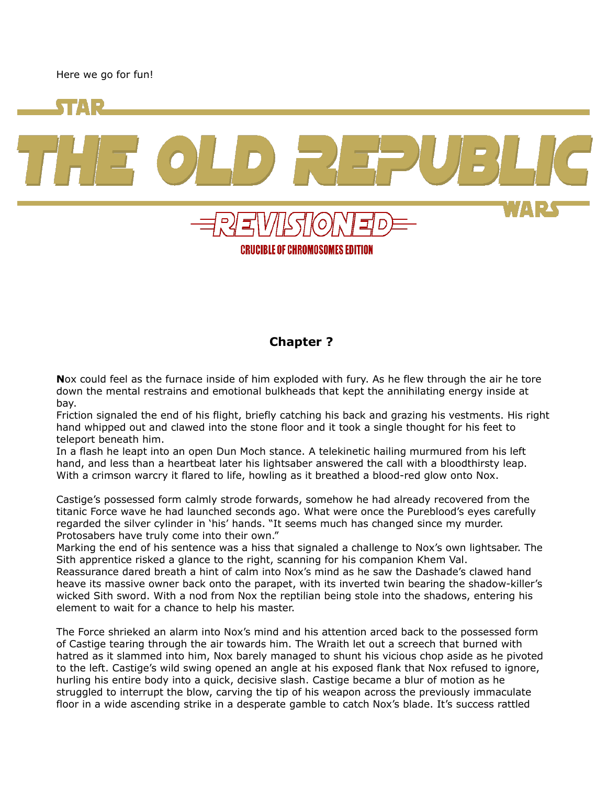Here we go for fun!



CRUCIBLE OF CHROMOSOMES EDITION

## **Chapter ?**

**N**ox could feel as the furnace inside of him exploded with fury. As he flew through the air he tore down the mental restrains and emotional bulkheads that kept the annihilating energy inside at bay.

Friction signaled the end of his flight, briefly catching his back and grazing his vestments. His right hand whipped out and clawed into the stone floor and it took a single thought for his feet to teleport beneath him.

In a flash he leapt into an open Dun Moch stance. A telekinetic hailing murmured from his left hand, and less than a heartbeat later his lightsaber answered the call with a bloodthirsty leap. With a crimson warcry it flared to life, howling as it breathed a blood-red glow onto Nox.

Castige's possessed form calmly strode forwards, somehow he had already recovered from the titanic Force wave he had launched seconds ago. What were once the Pureblood's eyes carefully regarded the silver cylinder in 'his' hands. "It seems much has changed since my murder. Protosabers have truly come into their own."

Marking the end of his sentence was a hiss that signaled a challenge to Nox's own lightsaber. The Sith apprentice risked a glance to the right, scanning for his companion Khem Val.

Reassurance dared breath a hint of calm into Nox's mind as he saw the Dashade's clawed hand heave its massive owner back onto the parapet, with its inverted twin bearing the shadow-killer's wicked Sith sword. With a nod from Nox the reptilian being stole into the shadows, entering his element to wait for a chance to help his master.

The Force shrieked an alarm into Nox's mind and his attention arced back to the possessed form of Castige tearing through the air towards him. The Wraith let out a screech that burned with hatred as it slammed into him, Nox barely managed to shunt his vicious chop aside as he pivoted to the left. Castige's wild swing opened an angle at his exposed flank that Nox refused to ignore, hurling his entire body into a quick, decisive slash. Castige became a blur of motion as he struggled to interrupt the blow, carving the tip of his weapon across the previously immaculate floor in a wide ascending strike in a desperate gamble to catch Nox's blade. It's success rattled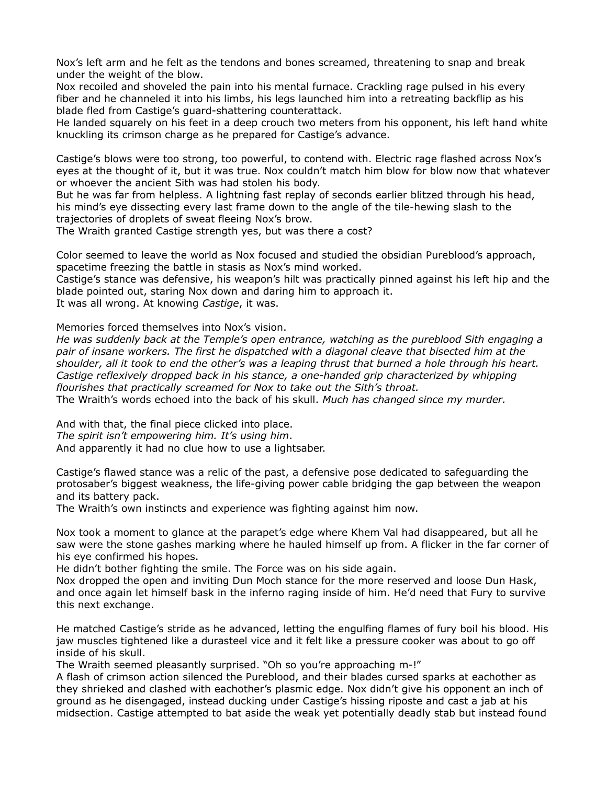Nox's left arm and he felt as the tendons and bones screamed, threatening to snap and break under the weight of the blow.

Nox recoiled and shoveled the pain into his mental furnace. Crackling rage pulsed in his every fiber and he channeled it into his limbs, his legs launched him into a retreating backflip as his blade fled from Castige's guard-shattering counterattack.

He landed squarely on his feet in a deep crouch two meters from his opponent, his left hand white knuckling its crimson charge as he prepared for Castige's advance.

Castige's blows were too strong, too powerful, to contend with. Electric rage flashed across Nox's eyes at the thought of it, but it was true. Nox couldn't match him blow for blow now that whatever or whoever the ancient Sith was had stolen his body.

But he was far from helpless. A lightning fast replay of seconds earlier blitzed through his head, his mind's eye dissecting every last frame down to the angle of the tile-hewing slash to the trajectories of droplets of sweat fleeing Nox's brow.

The Wraith granted Castige strength yes, but was there a cost?

Color seemed to leave the world as Nox focused and studied the obsidian Pureblood's approach, spacetime freezing the battle in stasis as Nox's mind worked.

Castige's stance was defensive, his weapon's hilt was practically pinned against his left hip and the blade pointed out, staring Nox down and daring him to approach it. It was all wrong. At knowing *Castige*, it was.

Memories forced themselves into Nox's vision.

*He was suddenly back at the Temple's open entrance, watching as the pureblood Sith engaging a pair of insane workers. The first he dispatched with a diagonal cleave that bisected him at the shoulder, all it took to end the other's was a leaping thrust that burned a hole through his heart. Castige reflexively dropped back in his stance, a one-handed grip characterized by whipping flourishes that practically screamed for Nox to take out the Sith's throat.* The Wraith's words echoed into the back of his skull. *Much has changed since my murder.*

And with that, the final piece clicked into place. *The spirit isn't empowering him. It's using him*. And apparently it had no clue how to use a lightsaber.

Castige's flawed stance was a relic of the past, a defensive pose dedicated to safeguarding the protosaber's biggest weakness, the life-giving power cable bridging the gap between the weapon and its battery pack.

The Wraith's own instincts and experience was fighting against him now.

Nox took a moment to glance at the parapet's edge where Khem Val had disappeared, but all he saw were the stone gashes marking where he hauled himself up from. A flicker in the far corner of his eye confirmed his hopes.

He didn't bother fighting the smile. The Force was on his side again.

Nox dropped the open and inviting Dun Moch stance for the more reserved and loose Dun Hask, and once again let himself bask in the inferno raging inside of him. He'd need that Fury to survive this next exchange.

He matched Castige's stride as he advanced, letting the engulfing flames of fury boil his blood. His jaw muscles tightened like a durasteel vice and it felt like a pressure cooker was about to go off inside of his skull.

The Wraith seemed pleasantly surprised. "Oh so you're approaching m-!"

A flash of crimson action silenced the Pureblood, and their blades cursed sparks at eachother as they shrieked and clashed with eachother's plasmic edge. Nox didn't give his opponent an inch of ground as he disengaged, instead ducking under Castige's hissing riposte and cast a jab at his midsection. Castige attempted to bat aside the weak yet potentially deadly stab but instead found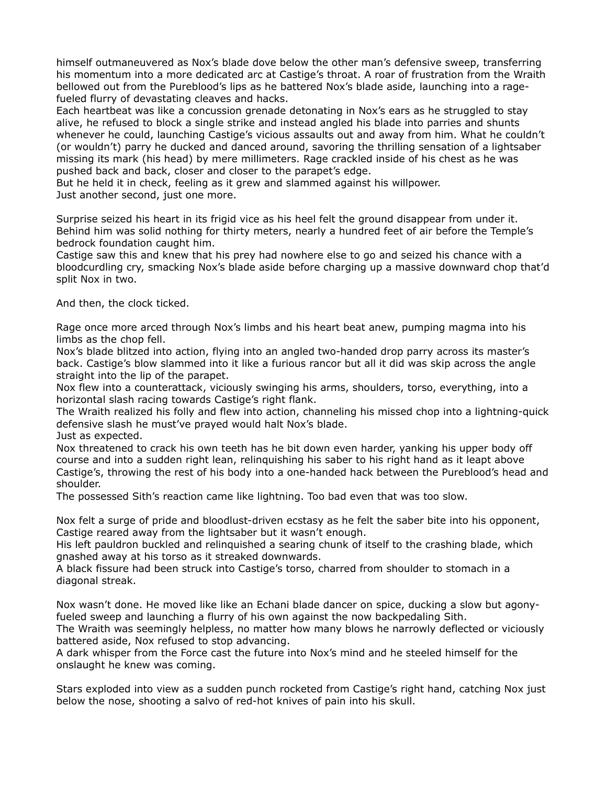himself outmaneuvered as Nox's blade dove below the other man's defensive sweep, transferring his momentum into a more dedicated arc at Castige's throat. A roar of frustration from the Wraith bellowed out from the Pureblood's lips as he battered Nox's blade aside, launching into a ragefueled flurry of devastating cleaves and hacks.

Each heartbeat was like a concussion grenade detonating in Nox's ears as he struggled to stay alive, he refused to block a single strike and instead angled his blade into parries and shunts whenever he could, launching Castige's vicious assaults out and away from him. What he couldn't (or wouldn't) parry he ducked and danced around, savoring the thrilling sensation of a lightsaber missing its mark (his head) by mere millimeters. Rage crackled inside of his chest as he was pushed back and back, closer and closer to the parapet's edge.

But he held it in check, feeling as it grew and slammed against his willpower. Just another second, just one more.

Surprise seized his heart in its frigid vice as his heel felt the ground disappear from under it. Behind him was solid nothing for thirty meters, nearly a hundred feet of air before the Temple's bedrock foundation caught him.

Castige saw this and knew that his prey had nowhere else to go and seized his chance with a bloodcurdling cry, smacking Nox's blade aside before charging up a massive downward chop that'd split Nox in two.

And then, the clock ticked.

Rage once more arced through Nox's limbs and his heart beat anew, pumping magma into his limbs as the chop fell.

Nox's blade blitzed into action, flying into an angled two-handed drop parry across its master's back. Castige's blow slammed into it like a furious rancor but all it did was skip across the angle straight into the lip of the parapet.

Nox flew into a counterattack, viciously swinging his arms, shoulders, torso, everything, into a horizontal slash racing towards Castige's right flank.

The Wraith realized his folly and flew into action, channeling his missed chop into a lightning-quick defensive slash he must've prayed would halt Nox's blade.

Just as expected.

Nox threatened to crack his own teeth has he bit down even harder, yanking his upper body off course and into a sudden right lean, relinquishing his saber to his right hand as it leapt above Castige's, throwing the rest of his body into a one-handed hack between the Pureblood's head and shoulder.

The possessed Sith's reaction came like lightning. Too bad even that was too slow.

Nox felt a surge of pride and bloodlust-driven ecstasy as he felt the saber bite into his opponent, Castige reared away from the lightsaber but it wasn't enough.

His left pauldron buckled and relinquished a searing chunk of itself to the crashing blade, which gnashed away at his torso as it streaked downwards.

A black fissure had been struck into Castige's torso, charred from shoulder to stomach in a diagonal streak.

Nox wasn't done. He moved like like an Echani blade dancer on spice, ducking a slow but agonyfueled sweep and launching a flurry of his own against the now backpedaling Sith.

The Wraith was seemingly helpless, no matter how many blows he narrowly deflected or viciously battered aside, Nox refused to stop advancing.

A dark whisper from the Force cast the future into Nox's mind and he steeled himself for the onslaught he knew was coming.

Stars exploded into view as a sudden punch rocketed from Castige's right hand, catching Nox just below the nose, shooting a salvo of red-hot knives of pain into his skull.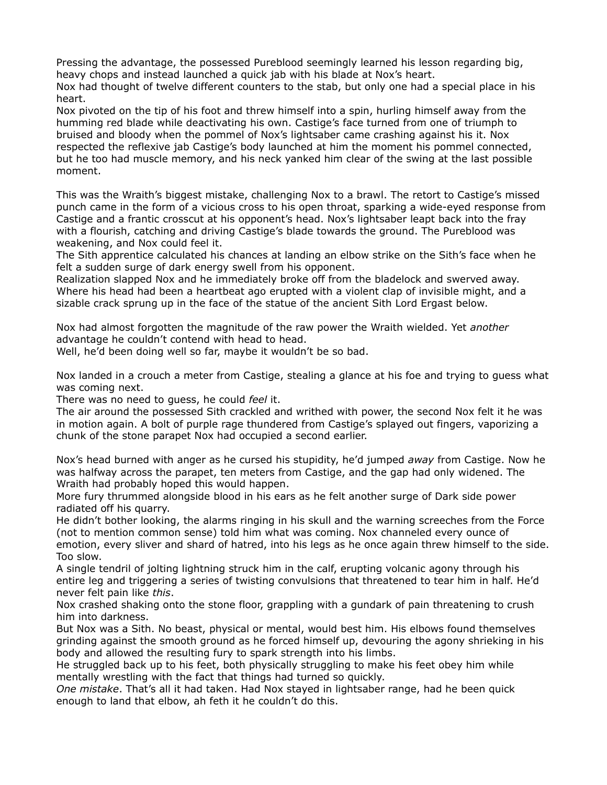Pressing the advantage, the possessed Pureblood seemingly learned his lesson regarding big, heavy chops and instead launched a quick jab with his blade at Nox's heart.

Nox had thought of twelve different counters to the stab, but only one had a special place in his heart.

Nox pivoted on the tip of his foot and threw himself into a spin, hurling himself away from the humming red blade while deactivating his own. Castige's face turned from one of triumph to bruised and bloody when the pommel of Nox's lightsaber came crashing against his it. Nox respected the reflexive jab Castige's body launched at him the moment his pommel connected, but he too had muscle memory, and his neck yanked him clear of the swing at the last possible moment.

This was the Wraith's biggest mistake, challenging Nox to a brawl. The retort to Castige's missed punch came in the form of a vicious cross to his open throat, sparking a wide-eyed response from Castige and a frantic crosscut at his opponent's head. Nox's lightsaber leapt back into the fray with a flourish, catching and driving Castige's blade towards the ground. The Pureblood was weakening, and Nox could feel it.

The Sith apprentice calculated his chances at landing an elbow strike on the Sith's face when he felt a sudden surge of dark energy swell from his opponent.

Realization slapped Nox and he immediately broke off from the bladelock and swerved away. Where his head had been a heartbeat ago erupted with a violent clap of invisible might, and a sizable crack sprung up in the face of the statue of the ancient Sith Lord Ergast below.

Nox had almost forgotten the magnitude of the raw power the Wraith wielded. Yet *another* advantage he couldn't contend with head to head.

Well, he'd been doing well so far, maybe it wouldn't be so bad.

Nox landed in a crouch a meter from Castige, stealing a glance at his foe and trying to guess what was coming next.

There was no need to guess, he could *feel* it.

The air around the possessed Sith crackled and writhed with power, the second Nox felt it he was in motion again. A bolt of purple rage thundered from Castige's splayed out fingers, vaporizing a chunk of the stone parapet Nox had occupied a second earlier.

Nox's head burned with anger as he cursed his stupidity, he'd jumped *away* from Castige. Now he was halfway across the parapet, ten meters from Castige, and the gap had only widened. The Wraith had probably hoped this would happen.

More fury thrummed alongside blood in his ears as he felt another surge of Dark side power radiated off his quarry.

He didn't bother looking, the alarms ringing in his skull and the warning screeches from the Force (not to mention common sense) told him what was coming. Nox channeled every ounce of emotion, every sliver and shard of hatred, into his legs as he once again threw himself to the side. Too slow.

A single tendril of jolting lightning struck him in the calf, erupting volcanic agony through his entire leg and triggering a series of twisting convulsions that threatened to tear him in half. He'd never felt pain like *this*.

Nox crashed shaking onto the stone floor, grappling with a gundark of pain threatening to crush him into darkness.

But Nox was a Sith. No beast, physical or mental, would best him. His elbows found themselves grinding against the smooth ground as he forced himself up, devouring the agony shrieking in his body and allowed the resulting fury to spark strength into his limbs.

He struggled back up to his feet, both physically struggling to make his feet obey him while mentally wrestling with the fact that things had turned so quickly.

*One mistake*. That's all it had taken. Had Nox stayed in lightsaber range, had he been quick enough to land that elbow, ah feth it he couldn't do this.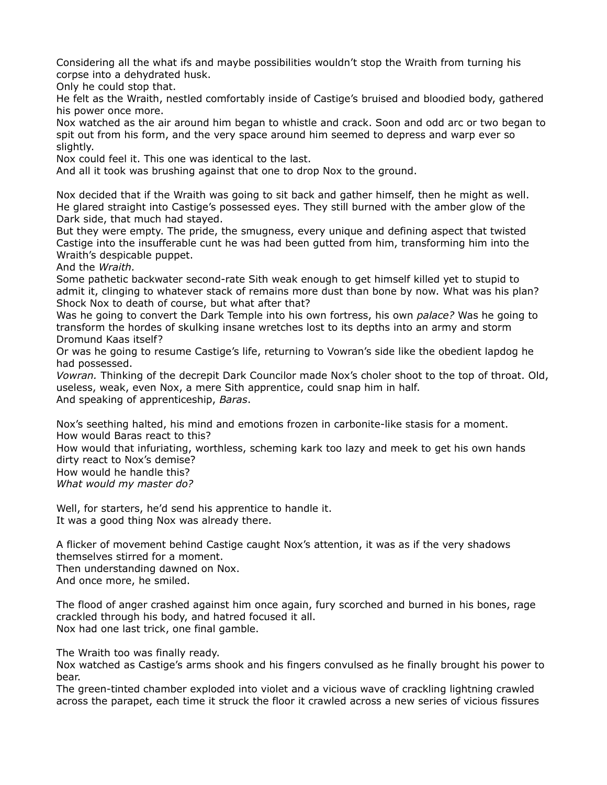Considering all the what ifs and maybe possibilities wouldn't stop the Wraith from turning his corpse into a dehydrated husk.

Only he could stop that.

He felt as the Wraith, nestled comfortably inside of Castige's bruised and bloodied body, gathered his power once more.

Nox watched as the air around him began to whistle and crack. Soon and odd arc or two began to spit out from his form, and the very space around him seemed to depress and warp ever so slightly.

Nox could feel it. This one was identical to the last.

And all it took was brushing against that one to drop Nox to the ground.

Nox decided that if the Wraith was going to sit back and gather himself, then he might as well. He glared straight into Castige's possessed eyes. They still burned with the amber glow of the Dark side, that much had stayed.

But they were empty. The pride, the smugness, every unique and defining aspect that twisted Castige into the insufferable cunt he was had been gutted from him, transforming him into the Wraith's despicable puppet.

And the *Wraith.*

Some pathetic backwater second-rate Sith weak enough to get himself killed yet to stupid to admit it, clinging to whatever stack of remains more dust than bone by now. What was his plan? Shock Nox to death of course, but what after that?

Was he going to convert the Dark Temple into his own fortress, his own *palace?* Was he going to transform the hordes of skulking insane wretches lost to its depths into an army and storm Dromund Kaas itself?

Or was he going to resume Castige's life, returning to Vowran's side like the obedient lapdog he had possessed.

*Vowran.* Thinking of the decrepit Dark Councilor made Nox's choler shoot to the top of throat. Old, useless, weak, even Nox, a mere Sith apprentice, could snap him in half. And speaking of apprenticeship, *Baras*.

Nox's seething halted, his mind and emotions frozen in carbonite-like stasis for a moment. How would Baras react to this?

How would that infuriating, worthless, scheming kark too lazy and meek to get his own hands dirty react to Nox's demise?

How would he handle this?

*What would my master do?*

Well, for starters, he'd send his apprentice to handle it. It was a good thing Nox was already there.

A flicker of movement behind Castige caught Nox's attention, it was as if the very shadows themselves stirred for a moment.

Then understanding dawned on Nox.

And once more, he smiled.

The flood of anger crashed against him once again, fury scorched and burned in his bones, rage crackled through his body, and hatred focused it all. Nox had one last trick, one final gamble.

The Wraith too was finally ready.

Nox watched as Castige's arms shook and his fingers convulsed as he finally brought his power to bear.

The green-tinted chamber exploded into violet and a vicious wave of crackling lightning crawled across the parapet, each time it struck the floor it crawled across a new series of vicious fissures